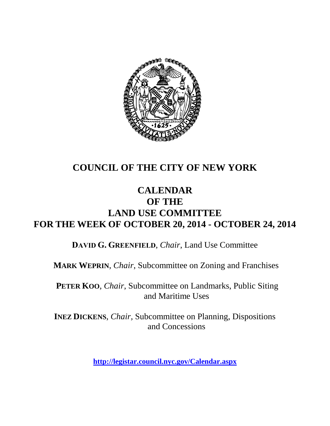

# **COUNCIL OF THE CITY OF NEW YORK**

## **CALENDAR OF THE LAND USE COMMITTEE FOR THE WEEK OF OCTOBER 20, 2014 - OCTOBER 24, 2014**

**DAVID G. GREENFIELD**, *Chair*, Land Use Committee

**MARK WEPRIN**, *Chair*, Subcommittee on Zoning and Franchises

**PETER KOO**, *Chair*, Subcommittee on Landmarks, Public Siting and Maritime Uses

**INEZ DICKENS**, *Chair,* Subcommittee on Planning, Dispositions and Concessions

**<http://legistar.council.nyc.gov/Calendar.aspx>**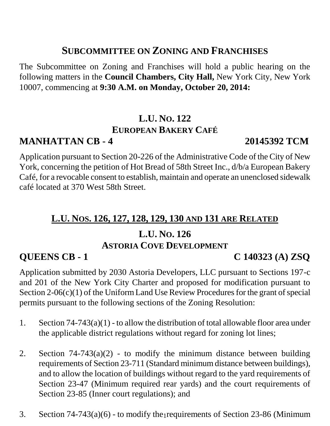## **SUBCOMMITTEE ON ZONING AND FRANCHISES**

The Subcommittee on Zoning and Franchises will hold a public hearing on the following matters in the **Council Chambers, City Hall,** New York City, New York 10007, commencing at **9:30 A.M. on Monday, October 20, 2014:**

# **L.U. NO. 122 EUROPEAN BAKERY CAFÉ**

# **MANHATTAN CB - 4 20145392 TCM**

Application pursuant to Section 20-226 of the Administrative Code of the City of New York, concerning the petition of Hot Bread of 58th Street Inc., d/b/a European Bakery Café, for a revocable consent to establish, maintain and operate an unenclosed sidewalk café located at 370 West 58th Street.

### **L.U. NOS. 126, 127, 128, 129, 130 AND 131 ARE RELATED**

## **L.U. NO. 126 ASTORIA COVE DEVELOPMENT**

### **QUEENS CB - 1 C 140323 (A) ZSQ**

Application submitted by 2030 Astoria Developers, LLC pursuant to Sections 197-c and 201 of the New York City Charter and proposed for modification pursuant to Section 2-06(c)(1) of the Uniform Land Use Review Procedures for the grant of special permits pursuant to the following sections of the Zoning Resolution:

- 1. Section 74-743(a)(1) to allow the distribution of total allowable floor area under the applicable district regulations without regard for zoning lot lines;
- 2. Section  $74-743(a)(2)$  to modify the minimum distance between building requirements of Section 23-711 (Standard minimum distance between buildings), and to allow the location of buildings without regard to the yard requirements of Section 23-47 (Minimum required rear yards) and the court requirements of Section 23-85 (Inner court regulations); and
- 3. Section  $74-743(a)(6)$  to modify the requirements of Section 23-86 (Minimum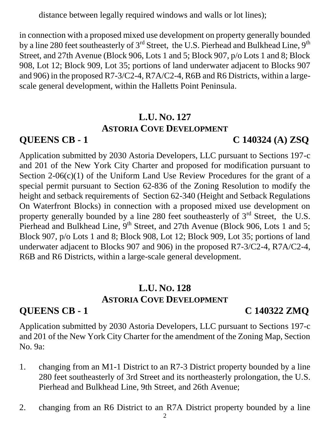distance between legally required windows and walls or lot lines);

in connection with a proposed mixed use development on property generally bounded by a line 280 feet southeasterly of 3<sup>rd</sup> Street, the U.S. Pierhead and Bulkhead Line, 9<sup>th</sup> Street, and 27th Avenue (Block 906, Lots 1 and 5; Block 907, p/o Lots 1 and 8; Block 908, Lot 12; Block 909, Lot 35; portions of land underwater adjacent to Blocks 907 and 906) in the proposed R7-3/C2-4, R7A/C2-4, R6B and R6 Districts, within a largescale general development, within the Halletts Point Peninsula.

### **L.U. NO. 127 ASTORIA COVE DEVELOPMENT**

**QUEENS CB - 1 C 140324 (A) ZSQ**

Application submitted by 2030 Astoria Developers, LLC pursuant to Sections 197-c and 201 of the New York City Charter and proposed for modification pursuant to Section  $2-06(c)(1)$  of the Uniform Land Use Review Procedures for the grant of a special permit pursuant to Section 62-836 of the Zoning Resolution to modify the height and setback requirements of Section 62-340 (Height and Setback Regulations On Waterfront Blocks) in connection with a proposed mixed use development on property generally bounded by a line 280 feet southeasterly of  $3<sup>rd</sup>$  Street, the U.S. Pierhead and Bulkhead Line, 9<sup>th</sup> Street, and 27th Avenue (Block 906, Lots 1 and 5; Block 907, p/o Lots 1 and 8; Block 908, Lot 12; Block 909, Lot 35; portions of land underwater adjacent to Blocks 907 and 906) in the proposed R7-3/C2-4, R7A/C2-4, R6B and R6 Districts, within a large-scale general development.

# **L.U. NO. 128 ASTORIA COVE DEVELOPMENT**

## **QUEENS CB - 1 C 140322 ZMQ**

Application submitted by 2030 Astoria Developers, LLC pursuant to Sections 197-c and 201 of the New York City Charter for the amendment of the Zoning Map, Section No. 9a:

- 1. changing from an M1-1 District to an R7-3 District property bounded by a line 280 feet southeasterly of 3rd Street and its northeasterly prolongation, the U.S. Pierhead and Bulkhead Line, 9th Street, and 26th Avenue;
- 2. changing from an R6 District to an R7A District property bounded by a line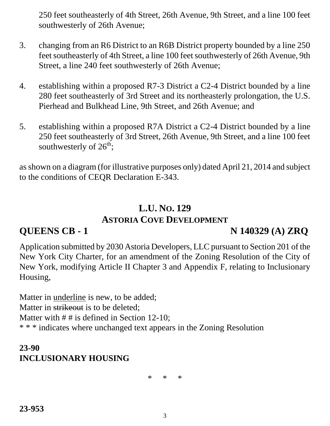250 feet southeasterly of 4th Street, 26th Avenue, 9th Street, and a line 100 feet southwesterly of 26th Avenue;

- 3. changing from an R6 District to an R6B District property bounded by a line 250 feet southeasterly of 4th Street, a line 100 feet southwesterly of 26th Avenue, 9th Street, a line 240 feet southwesterly of 26th Avenue;
- 4. establishing within a proposed R7-3 District a C2-4 District bounded by a line 280 feet southeasterly of 3rd Street and its northeasterly prolongation, the U.S. Pierhead and Bulkhead Line, 9th Street, and 26th Avenue; and
- 5. establishing within a proposed R7A District a C2-4 District bounded by a line 250 feet southeasterly of 3rd Street, 26th Avenue, 9th Street, and a line 100 feet southwesterly of  $26^{th}$ ;

as shown on a diagram (for illustrative purposes only) dated April 21, 2014 and subject to the conditions of CEQR Declaration E-343.

# **L.U. NO. 129 ASTORIA COVE DEVELOPMENT**

## **QUEENS CB - 1 N 140329 (A) ZRQ**

Application submitted by 2030 Astoria Developers, LLC pursuant to Section 201 of the New York City Charter, for an amendment of the Zoning Resolution of the City of New York, modifying Article II Chapter 3 and Appendix F, relating to Inclusionary Housing,

Matter in underline is new, to be added; Matter in strikeout is to be deleted; Matter with  $# #$  is defined in Section 12-10; \* \* \* indicates where unchanged text appears in the Zoning Resolution

# **23-90 INCLUSIONARY HOUSING**

\* \* \*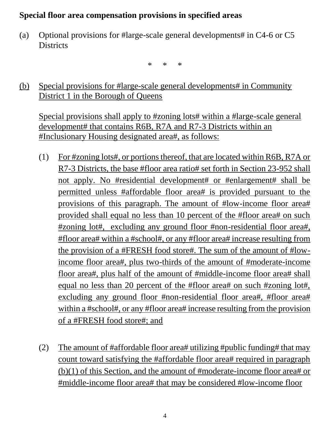#### **Special floor area compensation provisions in specified areas**

(a) Optional provisions for #large-scale general developments# in C4-6 or C5 **Districts** 

\* \* \*

(b) Special provisions for #large-scale general developments# in Community District 1 in the Borough of Queens

Special provisions shall apply to #zoning lots# within a #large-scale general development# that contains R6B, R7A and R7-3 Districts within an #Inclusionary Housing designated area#, as follows:

- (1) For #zoning lots#, or portions thereof, that are located within R6B, R7A or R7-3 Districts, the base #floor area ratio# set forth in Section 23-952 shall not apply. No #residential development# or #enlargement# shall be permitted unless #affordable floor area# is provided pursuant to the provisions of this paragraph. The amount of #low-income floor area# provided shall equal no less than 10 percent of the #floor area# on such #zoning lot#, excluding any ground floor #non-residential floor area#, #floor area# within a #school#, or any #floor area# increase resulting from the provision of a #FRESH food store#. The sum of the amount of #lowincome floor area#, plus two-thirds of the amount of #moderate-income floor area#, plus half of the amount of #middle-income floor area# shall equal no less than 20 percent of the #floor area# on such #zoning lot#, excluding any ground floor #non-residential floor area#, #floor area# within a #school#, or any #floor area# increase resulting from the provision of a #FRESH food store#; and
- (2) The amount of #affordable floor area# utilizing #public funding# that may count toward satisfying the #affordable floor area# required in paragraph (b)(1) of this Section, and the amount of #moderate-income floor area# or #middle-income floor area# that may be considered #low-income floor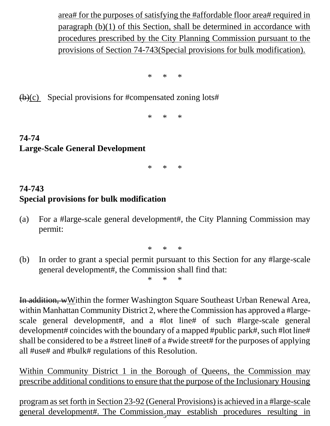area# for the purposes of satisfying the #affordable floor area# required in paragraph (b)(1) of this Section, shall be determined in accordance with procedures prescribed by the City Planning Commission pursuant to the provisions of Section 74-743(Special provisions for bulk modification).

\* \* \*

 $(b)(c)$  Special provisions for #compensated zoning lots#

\* \* \*

## **74-74 Large-Scale General Development**

\* \* \*

### **74-743 Special provisions for bulk modification**

(a) For a #large-scale general development#, the City Planning Commission may permit:

\* \* \*

(b) In order to grant a special permit pursuant to this Section for any #large-scale general development#, the Commission shall find that:

\* \* \*

In addition, wWithin the former Washington Square Southeast Urban Renewal Area, within Manhattan Community District 2, where the Commission has approved a #largescale general development#, and a #lot line# of such #large-scale general development# coincides with the boundary of a mapped #public park#, such #lot line# shall be considered to be a #street line# of a #wide street# for the purposes of applying all #use# and #bulk# regulations of this Resolution.

Within Community District 1 in the Borough of Queens, the Commission may prescribe additional conditions to ensure that the purpose of the Inclusionary Housing

general development#. The Commission<sub>5</sub> may establish procedures resulting in program as set forth in Section 23-92 (General Provisions) is achieved in a #large-scale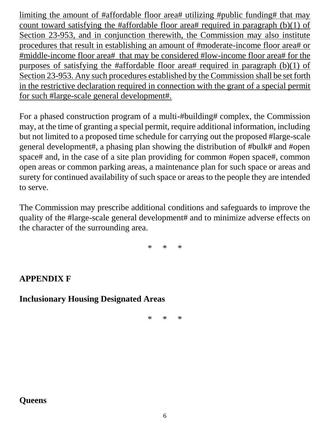limiting the amount of #affordable floor area# utilizing #public funding# that may count toward satisfying the #affordable floor area# required in paragraph  $(b)(1)$  of Section 23-953, and in conjunction therewith, the Commission may also institute procedures that result in establishing an amount of #moderate-income floor area# or #middle-income floor area# that may be considered #low-income floor area# for the purposes of satisfying the #affordable floor area# required in paragraph  $(b)(1)$  of Section 23-953. Any such procedures established by the Commission shall be set forth in the restrictive declaration required in connection with the grant of a special permit for such #large-scale general development#.

For a phased construction program of a multi-#building# complex, the Commission may, at the time of granting a special permit, require additional information, including but not limited to a proposed time schedule for carrying out the proposed #large-scale general development#, a phasing plan showing the distribution of #bulk# and #open space# and, in the case of a site plan providing for common #open space#, common open areas or common parking areas, a maintenance plan for such space or areas and surety for continued availability of such space or areas to the people they are intended to serve.

The Commission may prescribe additional conditions and safeguards to improve the quality of the #large-scale general development# and to minimize adverse effects on the character of the surrounding area.

\* \* \*

#### **APPENDIX F**

#### **Inclusionary Housing Designated Areas**

\* \* \*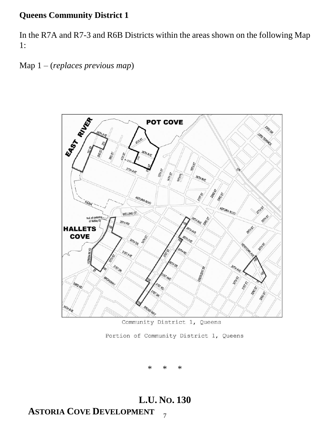#### **Queens Community District 1**

In the R7A and R7-3 and R6B Districts within the areas shown on the following Map 1:

Map 1 – (*replaces previous map*)



Community District 1, Queens

Portion of Community District 1, Queens

\* \* \*

#### 7 **L.U. NO. 130 ASTORIA COVE DEVELOPMENT**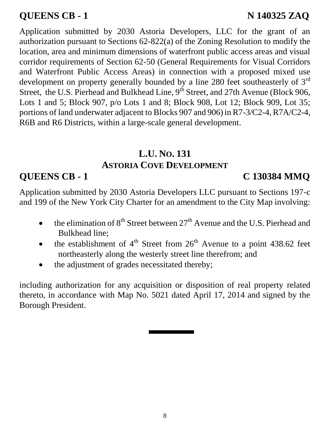# **QUEENS CB - 1** N 140325 ZAQ

Application submitted by 2030 Astoria Developers, LLC for the grant of an authorization pursuant to Sections 62-822(a) of the Zoning Resolution to modify the location, area and minimum dimensions of waterfront public access areas and visual corridor requirements of Section 62-50 (General Requirements for Visual Corridors and Waterfront Public Access Areas) in connection with a proposed mixed use development on property generally bounded by a line 280 feet southeasterly of  $3<sup>rd</sup>$ Street, the U.S. Pierhead and Bulkhead Line, 9<sup>th</sup> Street, and 27th Avenue (Block 906, Lots 1 and 5; Block 907, p/o Lots 1 and 8; Block 908, Lot 12; Block 909, Lot 35; portions of land underwater adjacent to Blocks 907 and 906) in R7-3/C2-4, R7A/C2-4, R6B and R6 Districts, within a large-scale general development.

## **L.U. NO. 131 ASTORIA COVE DEVELOPMENT**

# **QUEENS CB - 1 C 130384 MMQ**

Application submitted by 2030 Astoria Developers LLC pursuant to Sections 197-c and 199 of the New York City Charter for an amendment to the City Map involving:

- the elimination of  $8<sup>th</sup>$  Street between  $27<sup>th</sup>$  Avenue and the U.S. Pierhead and Bulkhead line;
- the establishment of  $4<sup>th</sup>$  Street from  $26<sup>th</sup>$  Avenue to a point 438.62 feet northeasterly along the westerly street line therefrom; and
- the adjustment of grades necessitated thereby;

including authorization for any acquisition or disposition of real property related thereto, in accordance with Map No. 5021 dated April 17, 2014 and signed by the Borough President.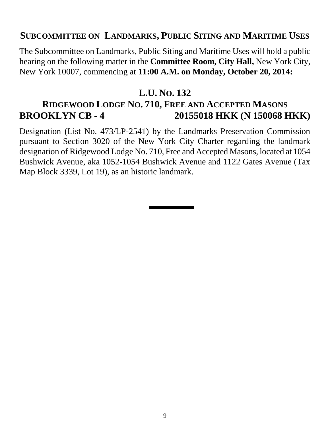### **SUBCOMMITTEE ON LANDMARKS, PUBLIC SITING AND MARITIME USES**

The Subcommittee on Landmarks, Public Siting and Maritime Uses will hold a public hearing on the following matter in the **Committee Room, City Hall,** New York City, New York 10007, commencing at **11:00 A.M. on Monday, October 20, 2014:** 

### **L.U. NO. 132**

# **RIDGEWOOD LODGE NO. 710, FREE AND ACCEPTED MASONS BROOKLYN CB - 4 20155018 HKK (N 150068 HKK)**

Designation (List No. 473/LP-2541) by the Landmarks Preservation Commission pursuant to Section 3020 of the New York City Charter regarding the landmark designation of Ridgewood Lodge No. 710, Free and Accepted Masons, located at 1054 Bushwick Avenue, aka 1052-1054 Bushwick Avenue and 1122 Gates Avenue (Tax Map Block 3339, Lot 19), as an historic landmark.